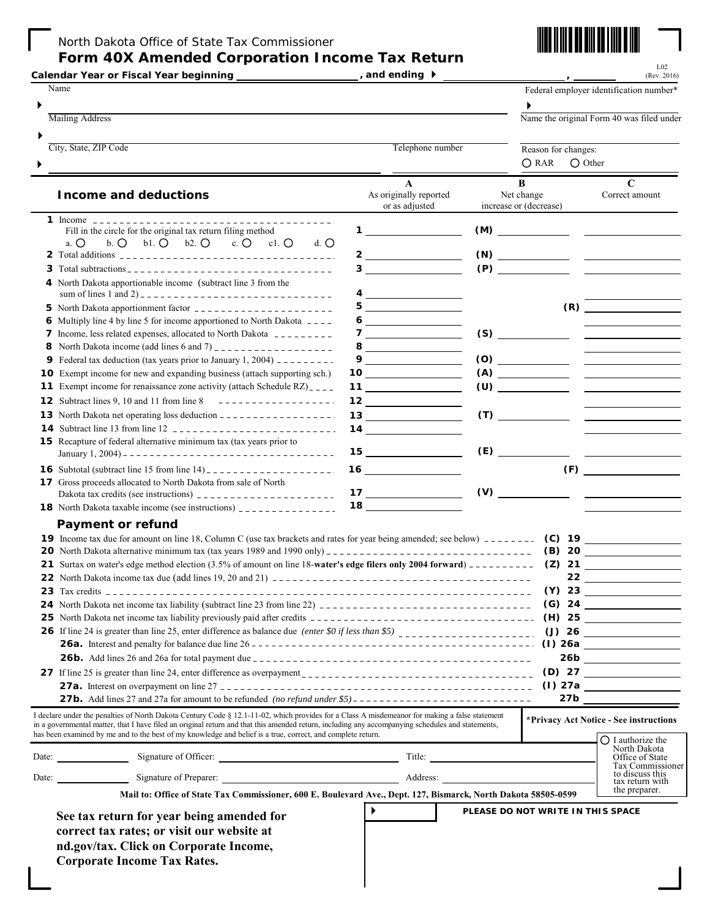North Dakota Office of State Tax Commissioner

**Form 40X Amended Corporation Income Tax Return**



|    | Calendar Year or Fiscal Year beginning                                                                                                                                                                                                                                                                                                                                                                             |  | , and ending $\blacktriangleright$                                                                                                                                                                                                                                                                                                                                                          |     | - ' -                                                     | L02<br>(Rev. 2016)                                                                                                                                                                                                                                                                                                                                                                                                                                                                                                     |
|----|--------------------------------------------------------------------------------------------------------------------------------------------------------------------------------------------------------------------------------------------------------------------------------------------------------------------------------------------------------------------------------------------------------------------|--|---------------------------------------------------------------------------------------------------------------------------------------------------------------------------------------------------------------------------------------------------------------------------------------------------------------------------------------------------------------------------------------------|-----|-----------------------------------------------------------|------------------------------------------------------------------------------------------------------------------------------------------------------------------------------------------------------------------------------------------------------------------------------------------------------------------------------------------------------------------------------------------------------------------------------------------------------------------------------------------------------------------------|
|    | Name                                                                                                                                                                                                                                                                                                                                                                                                               |  |                                                                                                                                                                                                                                                                                                                                                                                             |     |                                                           | Federal employer identification number*                                                                                                                                                                                                                                                                                                                                                                                                                                                                                |
|    | Mailing Address                                                                                                                                                                                                                                                                                                                                                                                                    |  |                                                                                                                                                                                                                                                                                                                                                                                             |     |                                                           | Name the original Form 40 was filed under                                                                                                                                                                                                                                                                                                                                                                                                                                                                              |
|    | City, State, ZIP Code                                                                                                                                                                                                                                                                                                                                                                                              |  | Telephone number                                                                                                                                                                                                                                                                                                                                                                            |     | Reason for changes:<br>$\bigcirc$ RAR<br>$\bigcirc$ Other |                                                                                                                                                                                                                                                                                                                                                                                                                                                                                                                        |
|    | Income and deductions                                                                                                                                                                                                                                                                                                                                                                                              |  | $\mathbf{A}$<br>As originally reported<br>or as adjusted                                                                                                                                                                                                                                                                                                                                    |     | <sub>R</sub><br>Net change<br>increase or (decrease)      | $\mathbf C$<br>Correct amount                                                                                                                                                                                                                                                                                                                                                                                                                                                                                          |
|    |                                                                                                                                                                                                                                                                                                                                                                                                                    |  |                                                                                                                                                                                                                                                                                                                                                                                             |     |                                                           |                                                                                                                                                                                                                                                                                                                                                                                                                                                                                                                        |
|    | Fill in the circle for the original tax return filing method                                                                                                                                                                                                                                                                                                                                                       |  |                                                                                                                                                                                                                                                                                                                                                                                             | (M) |                                                           |                                                                                                                                                                                                                                                                                                                                                                                                                                                                                                                        |
|    | b. O b1. O b2. O<br>a. O<br>c. $\bigcirc$ c1. $\bigcirc$<br>$d.$ $\bigcirc$                                                                                                                                                                                                                                                                                                                                        |  |                                                                                                                                                                                                                                                                                                                                                                                             |     |                                                           | $\begin{picture}(180,10) \put(0,0){\line(1,0){100}} \put(10,0){\line(1,0){100}} \put(10,0){\line(1,0){100}} \put(10,0){\line(1,0){100}} \put(10,0){\line(1,0){100}} \put(10,0){\line(1,0){100}} \put(10,0){\line(1,0){100}} \put(10,0){\line(1,0){100}} \put(10,0){\line(1,0){100}} \put(10,0){\line(1,0){100}} \put(10,0){\line(1,0){100}}$                                                                                                                                                                           |
|    |                                                                                                                                                                                                                                                                                                                                                                                                                    |  | $3 \left( \frac{1}{2} \right)$                                                                                                                                                                                                                                                                                                                                                              |     |                                                           |                                                                                                                                                                                                                                                                                                                                                                                                                                                                                                                        |
|    | 4 North Dakota apportionable income (subtract line 3 from the                                                                                                                                                                                                                                                                                                                                                      |  |                                                                                                                                                                                                                                                                                                                                                                                             |     |                                                           |                                                                                                                                                                                                                                                                                                                                                                                                                                                                                                                        |
|    |                                                                                                                                                                                                                                                                                                                                                                                                                    |  |                                                                                                                                                                                                                                                                                                                                                                                             |     |                                                           |                                                                                                                                                                                                                                                                                                                                                                                                                                                                                                                        |
|    |                                                                                                                                                                                                                                                                                                                                                                                                                    |  |                                                                                                                                                                                                                                                                                                                                                                                             |     |                                                           | $(R)$ and $(R)$                                                                                                                                                                                                                                                                                                                                                                                                                                                                                                        |
|    | 6 Multiply line 4 by line 5 for income apportioned to North Dakota $---$<br>7 Income, less related expenses, allocated to North Dakota _________                                                                                                                                                                                                                                                                   |  | $\frac{6}{\sqrt{25}}$<br>7 _____________                                                                                                                                                                                                                                                                                                                                                    | (S) |                                                           | the company of the company of the                                                                                                                                                                                                                                                                                                                                                                                                                                                                                      |
| 8  |                                                                                                                                                                                                                                                                                                                                                                                                                    |  | $8 \underline{\hspace{1cm}}$                                                                                                                                                                                                                                                                                                                                                                |     |                                                           |                                                                                                                                                                                                                                                                                                                                                                                                                                                                                                                        |
| 9  | Federal tax deduction (tax years prior to January 1, 2004) $-$ - - - - - - - -                                                                                                                                                                                                                                                                                                                                     |  | $9 \overline{\qquad \qquad }$                                                                                                                                                                                                                                                                                                                                                               |     |                                                           | $(0) \begin{tabular}{ccc} \multicolumn{2}{c} {\textbf{(0)}} & \multicolumn{2}{c} {\textbf{(1)}} \\ \multicolumn{2}{c} {\textbf{(2)}} & \multicolumn{2}{c} {\textbf{(3)}} \\ \multicolumn{2}{c} {\textbf{(4)}} & \multicolumn{2}{c} {\textbf{(5)}} \\ \multicolumn{2}{c} {\textbf{(6)}} & \multicolumn{2}{c} {\textbf{(6)}} \\ \multicolumn{2}{c} {\textbf{(6)}} & \multicolumn{2}{c} {\textbf{(6)}} \\ \multicolumn{2}{c} {\textbf{(6)}} & \multicolumn{2}{c} {\textbf{(6)}} \\ \multicolumn{2}{c} {\textbf{(6)}} & \$ |
| 10 | Exempt income for new and expanding business (attach supporting sch.)                                                                                                                                                                                                                                                                                                                                              |  |                                                                                                                                                                                                                                                                                                                                                                                             |     |                                                           | $(A) \begin{tabular}{ c c c c } \hline \quad \quad & \quad \quad & \quad \quad \\ \hline \end{tabular}$                                                                                                                                                                                                                                                                                                                                                                                                                |
| 11 | Exempt income for renaissance zone activity (attach Schedule $RZ$ ) _ _ _ _                                                                                                                                                                                                                                                                                                                                        |  |                                                                                                                                                                                                                                                                                                                                                                                             |     |                                                           | $\begin{picture}(150,10) \put(0,0){\line(1,0){100}} \put(15,0){\line(1,0){100}} \put(15,0){\line(1,0){100}} \put(15,0){\line(1,0){100}} \put(15,0){\line(1,0){100}} \put(15,0){\line(1,0){100}} \put(15,0){\line(1,0){100}} \put(15,0){\line(1,0){100}} \put(15,0){\line(1,0){100}} \put(15,0){\line(1,0){100}} \put(15,0){\line(1,0){100}}$                                                                                                                                                                           |
| 12 | Subtract lines 9, 10 and 11 from line 8 $-$ - - - - - - - - - - - - - - - - - -                                                                                                                                                                                                                                                                                                                                    |  |                                                                                                                                                                                                                                                                                                                                                                                             |     |                                                           |                                                                                                                                                                                                                                                                                                                                                                                                                                                                                                                        |
| 13 |                                                                                                                                                                                                                                                                                                                                                                                                                    |  |                                                                                                                                                                                                                                                                                                                                                                                             |     | (T)                                                       |                                                                                                                                                                                                                                                                                                                                                                                                                                                                                                                        |
|    | 15 Recapture of federal alternative minimum tax (tax years prior to                                                                                                                                                                                                                                                                                                                                                |  |                                                                                                                                                                                                                                                                                                                                                                                             |     |                                                           |                                                                                                                                                                                                                                                                                                                                                                                                                                                                                                                        |
|    |                                                                                                                                                                                                                                                                                                                                                                                                                    |  | $\overline{\mathbf{15}}$ and $\overline{\mathbf{5}}$ and $\overline{\mathbf{15}}$ and $\overline{\mathbf{16}}$ and $\overline{\mathbf{17}}$                                                                                                                                                                                                                                                 |     |                                                           |                                                                                                                                                                                                                                                                                                                                                                                                                                                                                                                        |
|    |                                                                                                                                                                                                                                                                                                                                                                                                                    |  | $\begin{picture}(20,20) \put(0,0){\dashbox{0.5}(5,0){ }} \put(15,0){\circle{10}} \put(15,0){\circle{10}} \put(15,0){\circle{10}} \put(15,0){\circle{10}} \put(15,0){\circle{10}} \put(15,0){\circle{10}} \put(15,0){\circle{10}} \put(15,0){\circle{10}} \put(15,0){\circle{10}} \put(15,0){\circle{10}} \put(15,0){\circle{10}} \put(15,0){\circle{10}} \put(15,0){\circle{10}} \put(15,0$ |     |                                                           | (F)                                                                                                                                                                                                                                                                                                                                                                                                                                                                                                                    |
|    | 17 Gross proceeds allocated to North Dakota from sale of North                                                                                                                                                                                                                                                                                                                                                     |  |                                                                                                                                                                                                                                                                                                                                                                                             |     |                                                           |                                                                                                                                                                                                                                                                                                                                                                                                                                                                                                                        |
|    |                                                                                                                                                                                                                                                                                                                                                                                                                    |  | $17 \underline{\hspace{1.5cm}}$                                                                                                                                                                                                                                                                                                                                                             |     |                                                           | <u> 1990 - Johann Barbara, martin a</u>                                                                                                                                                                                                                                                                                                                                                                                                                                                                                |
|    | <b>18</b> North Dakota taxable income (see instructions) $\frac{1}{2}$                                                                                                                                                                                                                                                                                                                                             |  |                                                                                                                                                                                                                                                                                                                                                                                             |     |                                                           |                                                                                                                                                                                                                                                                                                                                                                                                                                                                                                                        |
|    | Payment or refund                                                                                                                                                                                                                                                                                                                                                                                                  |  |                                                                                                                                                                                                                                                                                                                                                                                             |     |                                                           |                                                                                                                                                                                                                                                                                                                                                                                                                                                                                                                        |
|    | 19 Income tax due for amount on line 18, Column C (use tax brackets and rates for year being amended; see below) --------                                                                                                                                                                                                                                                                                          |  |                                                                                                                                                                                                                                                                                                                                                                                             |     |                                                           |                                                                                                                                                                                                                                                                                                                                                                                                                                                                                                                        |
|    | 21 Surtax on water's edge method election (3.5% of amount on line 18-water's edge filers only 2004 forward) _________                                                                                                                                                                                                                                                                                              |  |                                                                                                                                                                                                                                                                                                                                                                                             |     |                                                           |                                                                                                                                                                                                                                                                                                                                                                                                                                                                                                                        |
|    |                                                                                                                                                                                                                                                                                                                                                                                                                    |  |                                                                                                                                                                                                                                                                                                                                                                                             |     | 22                                                        |                                                                                                                                                                                                                                                                                                                                                                                                                                                                                                                        |
|    |                                                                                                                                                                                                                                                                                                                                                                                                                    |  |                                                                                                                                                                                                                                                                                                                                                                                             |     |                                                           |                                                                                                                                                                                                                                                                                                                                                                                                                                                                                                                        |
|    |                                                                                                                                                                                                                                                                                                                                                                                                                    |  |                                                                                                                                                                                                                                                                                                                                                                                             |     |                                                           |                                                                                                                                                                                                                                                                                                                                                                                                                                                                                                                        |
|    |                                                                                                                                                                                                                                                                                                                                                                                                                    |  |                                                                                                                                                                                                                                                                                                                                                                                             |     |                                                           |                                                                                                                                                                                                                                                                                                                                                                                                                                                                                                                        |
|    | 26 If line 24 is greater than line 25, enter difference as balance due (enter \$0 if less than \$5) $\frac{1}{2}$                                                                                                                                                                                                                                                                                                  |  |                                                                                                                                                                                                                                                                                                                                                                                             |     |                                                           |                                                                                                                                                                                                                                                                                                                                                                                                                                                                                                                        |
|    |                                                                                                                                                                                                                                                                                                                                                                                                                    |  |                                                                                                                                                                                                                                                                                                                                                                                             |     |                                                           | 26b _______________                                                                                                                                                                                                                                                                                                                                                                                                                                                                                                    |
|    |                                                                                                                                                                                                                                                                                                                                                                                                                    |  |                                                                                                                                                                                                                                                                                                                                                                                             |     |                                                           |                                                                                                                                                                                                                                                                                                                                                                                                                                                                                                                        |
|    |                                                                                                                                                                                                                                                                                                                                                                                                                    |  |                                                                                                                                                                                                                                                                                                                                                                                             |     |                                                           |                                                                                                                                                                                                                                                                                                                                                                                                                                                                                                                        |
|    | 27b. Add lines 27 and 27a for amount to be refunded (no refund under \$5) ---------------------------                                                                                                                                                                                                                                                                                                              |  |                                                                                                                                                                                                                                                                                                                                                                                             |     |                                                           | $27b$ _____________                                                                                                                                                                                                                                                                                                                                                                                                                                                                                                    |
|    | I declare under the penalties of North Dakota Century Code § 12.1-11-02, which provides for a Class A misdemeanor for making a false statement<br>in a governmental matter, that I have filed an original return and that this amended return, including any accompanying schedules and statements,<br>has been examined by me and to the best of my knowledge and belief is a true, correct, and complete return. |  |                                                                                                                                                                                                                                                                                                                                                                                             |     |                                                           | *Privacy Act Notice - See instructions                                                                                                                                                                                                                                                                                                                                                                                                                                                                                 |
|    |                                                                                                                                                                                                                                                                                                                                                                                                                    |  |                                                                                                                                                                                                                                                                                                                                                                                             |     |                                                           | $\bigcirc$ I authorize the<br>North Dakota                                                                                                                                                                                                                                                                                                                                                                                                                                                                             |
|    | Date: Signature of Officer: Signature of Officer: Title: Title: Title: New York: New York: New York: New York: New York: New York: New York: New York: New York: New York: New York: New York: New York: New York: New York: N                                                                                                                                                                                     |  |                                                                                                                                                                                                                                                                                                                                                                                             |     |                                                           | Office of State<br>Tax Commissioner                                                                                                                                                                                                                                                                                                                                                                                                                                                                                    |
|    | Date: Signature of Preparer: Signature of Preparer:                                                                                                                                                                                                                                                                                                                                                                |  |                                                                                                                                                                                                                                                                                                                                                                                             |     |                                                           | to discuss this<br>tax return with                                                                                                                                                                                                                                                                                                                                                                                                                                                                                     |
|    | Mail to: Office of State Tax Commissioner, 600 E. Boulevard Ave., Dept. 127, Bismarck, North Dakota 58505-0599                                                                                                                                                                                                                                                                                                     |  |                                                                                                                                                                                                                                                                                                                                                                                             |     |                                                           | the preparer.                                                                                                                                                                                                                                                                                                                                                                                                                                                                                                          |
|    | $\blacktriangleright$<br>See tax return for year being amended for                                                                                                                                                                                                                                                                                                                                                 |  | PLEASE DO NOT WRITE IN THIS SPACE                                                                                                                                                                                                                                                                                                                                                           |     |                                                           |                                                                                                                                                                                                                                                                                                                                                                                                                                                                                                                        |
|    | correct tax rates; or visit our website at                                                                                                                                                                                                                                                                                                                                                                         |  |                                                                                                                                                                                                                                                                                                                                                                                             |     |                                                           |                                                                                                                                                                                                                                                                                                                                                                                                                                                                                                                        |
|    | nd.gov/tax. Click on Corporate Income,                                                                                                                                                                                                                                                                                                                                                                             |  |                                                                                                                                                                                                                                                                                                                                                                                             |     |                                                           |                                                                                                                                                                                                                                                                                                                                                                                                                                                                                                                        |
|    | <b>Corporate Income Tax Rates.</b>                                                                                                                                                                                                                                                                                                                                                                                 |  |                                                                                                                                                                                                                                                                                                                                                                                             |     |                                                           |                                                                                                                                                                                                                                                                                                                                                                                                                                                                                                                        |
|    |                                                                                                                                                                                                                                                                                                                                                                                                                    |  |                                                                                                                                                                                                                                                                                                                                                                                             |     |                                                           |                                                                                                                                                                                                                                                                                                                                                                                                                                                                                                                        |
|    |                                                                                                                                                                                                                                                                                                                                                                                                                    |  |                                                                                                                                                                                                                                                                                                                                                                                             |     |                                                           |                                                                                                                                                                                                                                                                                                                                                                                                                                                                                                                        |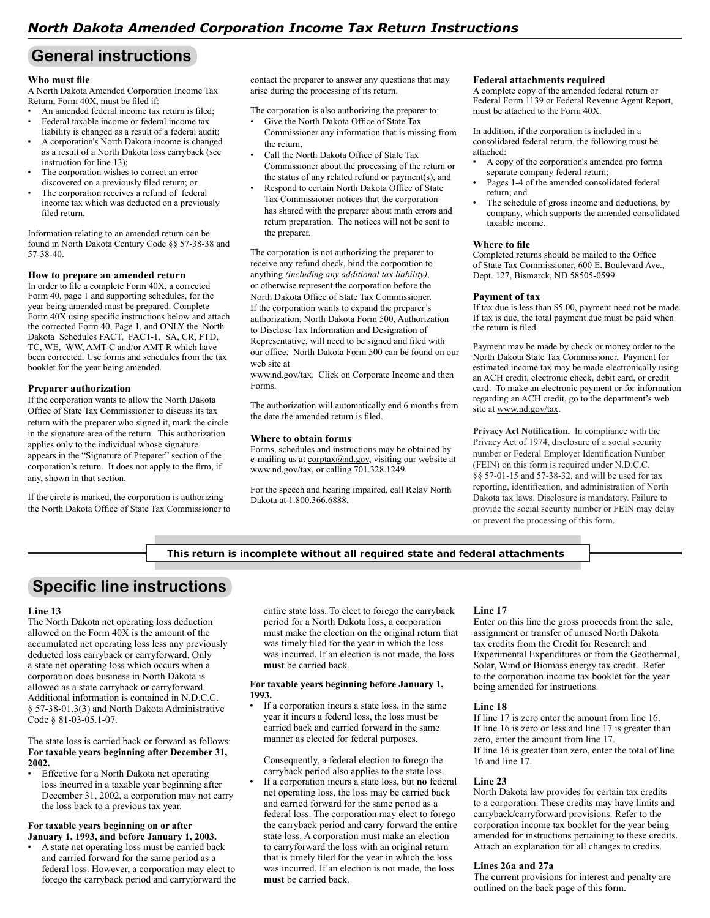# **General instructions**

#### **Who must file**

A North Dakota Amended Corporation Income Tax Return, Form 40X, must be filed if:

- An amended federal income tax return is filed; • Federal taxable income or federal income tax
- liability is changed as a result of a federal audit; • A corporation's North Dakota income is changed as a result of a North Dakota loss carryback (see instruction for line 13);
- The corporation wishes to correct an error discovered on a previously filed return; or
- The corporation receives a refund of federal income tax which was deducted on a previously filed return.

Information relating to an amended return can be found in North Dakota Century Code §§ 57‑38‑38 and 57‑38-40.

#### **How to prepare an amended return**

In order to file a complete Form 40X, a corrected Form 40, page 1 and supporting schedules, for the year being amended must be prepared. Complete Form 40X using specific instructions below and attach the corrected Form 40, Page 1, and ONLY the North Dakota Schedules FACT, FACT-1, SA, CR, FTD, TC, WE, WW, AMT-C and/or AMT-R which have been corrected. Use forms and schedules from the tax booklet for the year being amended.

#### **Preparer authorization**

If the corporation wants to allow the North Dakota Office of State Tax Commissioner to discuss its tax return with the preparer who signed it, mark the circle in the signature area of the return. This authorization applies only to the individual whose signature appears in the "Signature of Preparer" section of the corporation's return. It does not apply to the firm, if any, shown in that section.

If the circle is marked, the corporation is authorizing the North Dakota Office of State Tax Commissioner to

contact the preparer to answer any questions that may arise during the processing of its return.

- The corporation is also authorizing the preparer to:
- Give the North Dakota Office of State Tax Commissioner any information that is missing from the return,
- Call the North Dakota Office of State Tax Commissioner about the processing of the return or the status of any related refund or payment(s), and
- Respond to certain North Dakota Office of State Tax Commissioner notices that the corporation has shared with the preparer about math errors and return preparation. The notices will not be sent to the preparer.

The corporation is not authorizing the preparer to receive any refund check, bind the corporation to anything *(including any additional tax liability)*, or otherwise represent the corporation before the North Dakota Office of State Tax Commissioner. If the corporation wants to expand the preparer's authorization, North Dakota Form 500, Authorization to Disclose Tax Information and Designation of Representative, will need to be signed and filed with our office. North Dakota Form 500 can be found on our web site at

www.nd.gov/tax. Click on Corporate Income and then Forms.

The authorization will automatically end 6 months from the date the amended return is filed.

#### **Where to obtain forms**

Forms, schedules and instructions may be obtained by e-mailing us at corptax@nd.gov, visiting our website at www.nd.gov/tax, or calling 701.328.1249.

For the speech and hearing impaired, call Relay North Dakota at 1.800.366.6888.

#### **Federal attachments required**

A complete copy of the amended federal return or Federal Form 1139 or Federal Revenue Agent Report, must be attached to the Form 40X.

In addition, if the corporation is included in a consolidated federal return, the following must be attached:

- A copy of the corporation's amended pro forma separate company federal return;
- Pages 1-4 of the amended consolidated federal return; and
- The schedule of gross income and deductions, by company, which supports the amended consolidated taxable income.

#### **Where to file**

Completed returns should be mailed to the Office of State Tax Commissioner, 600 E. Boulevard Ave., Dept. 127, Bismarck, ND 58505-0599.

#### **Payment of tax**

If tax due is less than \$5.00, payment need not be made. If tax is due, the total payment due must be paid when the return is filed.

Payment may be made by check or money order to the North Dakota State Tax Commissioner. Payment for estimated income tax may be made electronically using an ACH credit, electronic check, debit card, or credit card. To make an electronic payment or for information regarding an ACH credit, go to the department's web site at www.nd.gov/tax.

**Privacy Act Notification.** In compliance with the Privacy Act of 1974, disclosure of a social security number or Federal Employer Identification Number (FEIN) on this form is required under N.D.C.C. §§ 57‑01-15 and 57-38-32, and will be used for tax reporting, identification, and administration of North Dakota tax laws. Disclosure is mandatory. Failure to provide the social security number or FEIN may delay or prevent the processing of this form.

**This return is incomplete without all required state and federal attachments**

# **Specific line instructions**

#### **Line 13**

The North Dakota net operating loss deduction allowed on the Form 40X is the amount of the accumulated net operating loss less any previously deducted loss carryback or carryforward. Only a state net operating loss which occurs when a corporation does business in North Dakota is allowed as a state carryback or carryforward. Additional information is contained in N.D.C.C. § 57‑38-01.3(3) and North Dakota Administrative Code § 81-03-05.1-07.

The state loss is carried back or forward as follows: **For taxable years beginning after December 31, 2002.**

• Effective for a North Dakota net operating loss incurred in a taxable year beginning after December 31, 2002, a corporation may not carry the loss back to a previous tax year.

#### **For taxable years beginning on or after January 1, 1993, and before January 1, 2003.**

• A state net operating loss must be carried back and carried forward for the same period as a federal loss. However, a corporation may elect to forego the carryback period and carryforward the

entire state loss. To elect to forego the carryback period for a North Dakota loss, a corporation must make the election on the original return that was timely filed for the year in which the loss was incurred. If an election is not made, the loss **must** be carried back.

#### **For taxable years beginning before January 1, 1993.**

• If a corporation incurs a state loss, in the same year it incurs a federal loss, the loss must be carried back and carried forward in the same manner as elected for federal purposes.

Consequently, a federal election to forego the carryback period also applies to the state loss.

• If a corporation incurs a state loss, but **no** federal net operating loss, the loss may be carried back and carried forward for the same period as a federal loss. The corporation may elect to forego the carryback period and carry forward the entire state loss. A corporation must make an election to carryforward the loss with an original return that is timely filed for the year in which the loss was incurred. If an election is not made, the loss **must** be carried back.

#### **Line 17**

Enter on this line the gross proceeds from the sale, assignment or transfer of unused North Dakota tax credits from the Credit for Research and Experimental Expenditures or from the Geothermal, Solar, Wind or Biomass energy tax credit. Refer to the corporation income tax booklet for the year being amended for instructions.

#### **Line 18**

If line 17 is zero enter the amount from line 16. If line 16 is zero or less and line 17 is greater than zero, enter the amount from line 17. If line 16 is greater than zero, enter the total of line 16 and line 17.

#### **Line 23**

North Dakota law provides for certain tax credits to a corporation. These credits may have limits and carryback/carryforward provisions. Refer to the corporation income tax booklet for the year being amended for instructions pertaining to these credits. Attach an explanation for all changes to credits.

#### **Lines 26a and 27a**

The current provisions for interest and penalty are outlined on the back page of this form.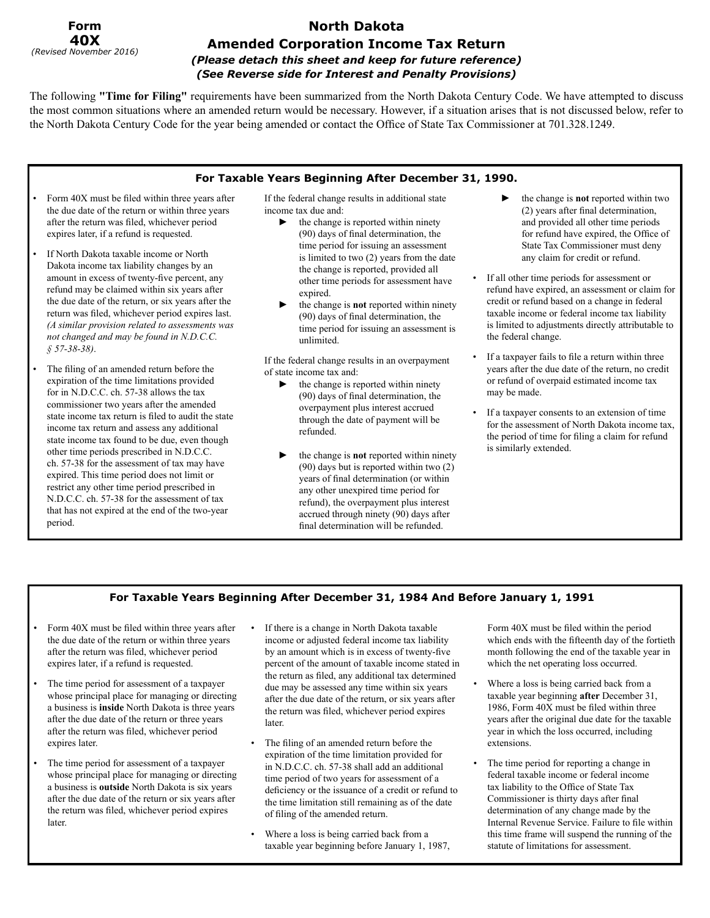### **Form 40X** *(Revised November 2016)*

## **North Dakota Amended Corporation Income Tax Return** *(Please detach this sheet and keep for future reference) (See Reverse side for Interest and Penalty Provisions)*

The following **"Time for Filing"** requirements have been summarized from the North Dakota Century Code. We have attempted to discuss the most common situations where an amended return would be necessary. However, if a situation arises that is not discussed below, refer to the North Dakota Century Code for the year being amended or contact the Office of State Tax Commissioner at 701.328.1249.

## **For Taxable Years Beginning After December 31, 1990.**

- Form 40X must be filed within three years after the due date of the return or within three years after the return was filed, whichever period expires later, if a refund is requested.
- If North Dakota taxable income or North Dakota income tax liability changes by an amount in excess of twenty-five percent, any refund may be claimed within six years after the due date of the return, or six years after the return was filed, whichever period expires last. *(A similar provision related to assessments was not changed and may be found in N.D.C.C. § 57-38-38)*.
- The filing of an amended return before the expiration of the time limitations provided for in N.D.C.C. ch. 57-38 allows the tax commissioner two years after the amended state income tax return is filed to audit the state income tax return and assess any additional state income tax found to be due, even though other time periods prescribed in N.D.C.C. ch. 57‑38 for the assessment of tax may have expired. This time period does not limit or restrict any other time period prescribed in N.D.C.C. ch. 57-38 for the assessment of tax that has not expired at the end of the two-year period.

If the federal change results in additional state income tax due and:

- $\blacktriangleright$  the change is reported within ninety (90) days of final determination, the time period for issuing an assessment is limited to two (2) years from the date the change is reported, provided all other time periods for assessment have expired.
- ► the change is **not** reported within ninety (90) days of final determination, the time period for issuing an assessment is unlimited.

If the federal change results in an overpayment of state income tax and:

- the change is reported within ninety (90) days of final determination, the overpayment plus interest accrued through the date of payment will be refunded.
- ► the change is **not** reported within ninety (90) days but is reported within two (2) years of final determination (or within any other unexpired time period for refund), the overpayment plus interest accrued through ninety (90) days after final determination will be refunded.
- ► the change is **not** reported within two (2) years after final determination, and provided all other time periods for refund have expired, the Office of State Tax Commissioner must deny any claim for credit or refund.
- If all other time periods for assessment or refund have expired, an assessment or claim for credit or refund based on a change in federal taxable income or federal income tax liability is limited to adjustments directly attributable to the federal change.
- If a taxpayer fails to file a return within three years after the due date of the return, no credit or refund of overpaid estimated income tax may be made.
- If a taxpayer consents to an extension of time for the assessment of North Dakota income tax, the period of time for filing a claim for refund is similarly extended.

## **For Taxable Years Beginning After December 31, 1984 And Before January 1, 1991**

- Form 40X must be filed within three years after the due date of the return or within three years after the return was filed, whichever period expires later, if a refund is requested.
- The time period for assessment of a taxpayer whose principal place for managing or directing a business is **inside** North Dakota is three years after the due date of the return or three years after the return was filed, whichever period expires later.
- The time period for assessment of a taxpayer whose principal place for managing or directing a business is **outside** North Dakota is six years after the due date of the return or six years after the return was filed, whichever period expires later.
- If there is a change in North Dakota taxable income or adjusted federal income tax liability by an amount which is in excess of twenty-five percent of the amount of taxable income stated in the return as filed, any additional tax determined due may be assessed any time within six years after the due date of the return, or six years after the return was filed, whichever period expires later.
- The filing of an amended return before the expiration of the time limitation provided for in N.D.C.C. ch. 57-38 shall add an additional time period of two years for assessment of a deficiency or the issuance of a credit or refund to the time limitation still remaining as of the date of filing of the amended return.
- Where a loss is being carried back from a taxable year beginning before January 1, 1987,

Form 40X must be filed within the period which ends with the fifteenth day of the fortieth month following the end of the taxable year in which the net operating loss occurred.

- Where a loss is being carried back from a taxable year beginning **after** December 31, 1986, Form 40X must be filed within three years after the original due date for the taxable year in which the loss occurred, including extensions.
- The time period for reporting a change in federal taxable income or federal income tax liability to the Office of State Tax Commissioner is thirty days after final determination of any change made by the Internal Revenue Service. Failure to file within this time frame will suspend the running of the statute of limitations for assessment.